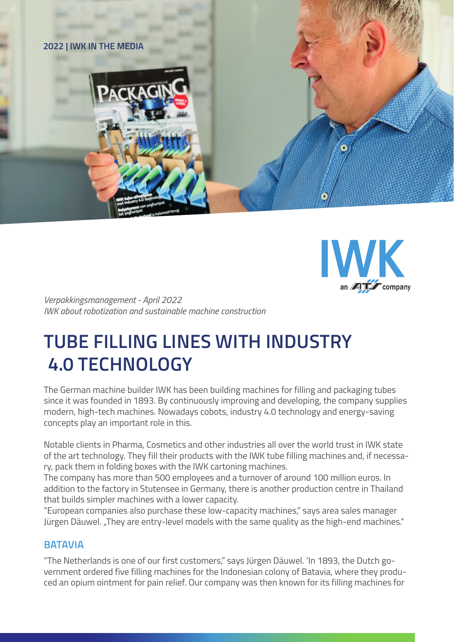



*Verpakkingsmanagement - April 2022 IWK about robotization and sustainable machine construction*

# **TUBE FILLING LINES WITH INDUSTRY 4.0 TECHNOLOGY**

The German machine builder IWK has been building machines for filling and packaging tubes since it was founded in 1893. By continuously improving and developing, the company supplies modern, high-tech machines. Nowadays cobots, industry 4.0 technology and energy-saving concepts play an important role in this.

Notable clients in Pharma, Cosmetics and other industries all over the world trust in IWK state of the art technology. They fill their products with the IWK tube filling machines and, if necessary, pack them in folding boxes with the IWK cartoning machines.

The company has more than 500 employees and a turnover of around 100 million euros. In addition to the factory in Stutensee in Germany, there is another production centre in Thailand that builds simpler machines with a lower capacity.

"European companies also purchase these low-capacity machines," says area sales manager Jürgen Däuwel. "They are entry-level models with the same quality as the high-end machines."

# **BATAVIA**

"The Netherlands is one of our first customers," says Jürgen Däuwel. 'In 1893, the Dutch government ordered five filling machines for the Indonesian colony of Batavia, where they produced an opium ointment for pain relief. Our company was then known for its filling machines for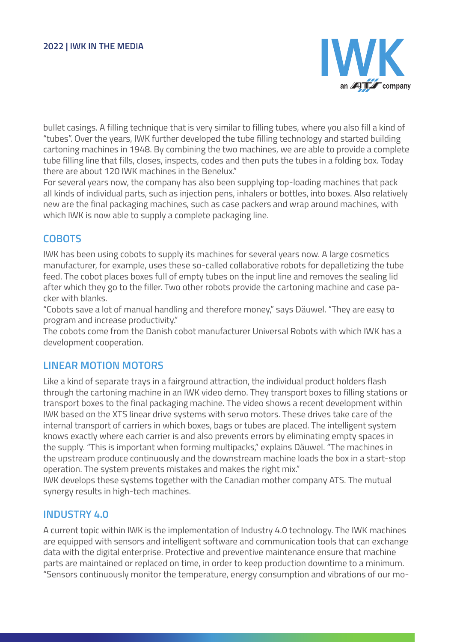

bullet casings. A filling technique that is very similar to filling tubes, where you also fill a kind of "tubes". Over the years, IWK further developed the tube filling technology and started building cartoning machines in 1948. By combining the two machines, we are able to provide a complete tube filling line that fills, closes, inspects, codes and then puts the tubes in a folding box. Today there are about 120 IWK machines in the Benelux."

For several years now, the company has also been supplying top-loading machines that pack all kinds of individual parts, such as injection pens, inhalers or bottles, into boxes. Also relatively new are the final packaging machines, such as case packers and wrap around machines, with which IWK is now able to supply a complete packaging line.

## **COBOTS**

IWK has been using cobots to supply its machines for several years now. A large cosmetics manufacturer, for example, uses these so-called collaborative robots for depalletizing the tube feed. The cobot places boxes full of empty tubes on the input line and removes the sealing lid after which they go to the filler. Two other robots provide the cartoning machine and case packer with blanks.

"Cobots save a lot of manual handling and therefore money," says Däuwel. "They are easy to program and increase productivity."

The cobots come from the Danish cobot manufacturer Universal Robots with which IWK has a development cooperation.

### **LINEAR MOTION MOTORS**

Like a kind of separate trays in a fairground attraction, the individual product holders flash through the cartoning machine in an IWK video demo. They transport boxes to filling stations or transport boxes to the final packaging machine. The video shows a recent development within IWK based on the XTS linear drive systems with servo motors. These drives take care of the internal transport of carriers in which boxes, bags or tubes are placed. The intelligent system knows exactly where each carrier is and also prevents errors by eliminating empty spaces in the supply. "This is important when forming multipacks," explains Däuwel. "The machines in the upstream produce continuously and the downstream machine loads the box in a start-stop operation. The system prevents mistakes and makes the right mix."

IWK develops these systems together with the Canadian mother company ATS. The mutual synergy results in high-tech machines.

#### **INDUSTRY 4.0**

A current topic within IWK is the implementation of Industry 4.0 technology. The IWK machines are equipped with sensors and intelligent software and communication tools that can exchange data with the digital enterprise. Protective and preventive maintenance ensure that machine parts are maintained or replaced on time, in order to keep production downtime to a minimum. "Sensors continuously monitor the temperature, energy consumption and vibrations of our mo-